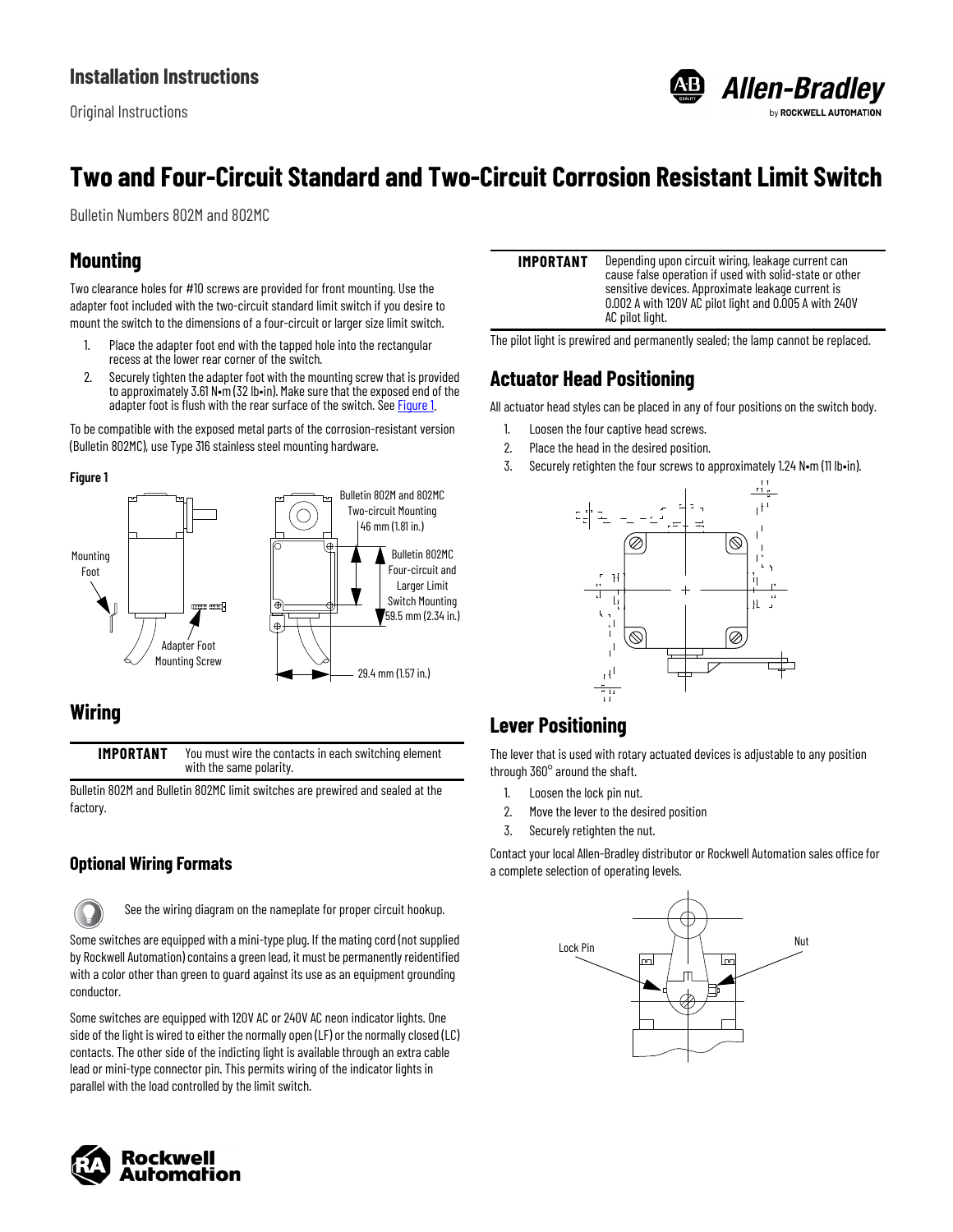Original Instructions



# **Two and Four-Circuit Standard and Two-Circuit Corrosion Resistant Limit Switch**

Bulletin Numbers 802M and 802MC

### **Mounting**

Two clearance holes for #10 screws are provided for front mounting. Use the adapter foot included with the two-circuit standard limit switch if you desire to mount the switch to the dimensions of a four-circuit or larger size limit switch.

- 1. Place the adapter foot end with the tapped hole into the rectangular recess at the lower rear corner of the switch.
- 2. Securely tighten the adapter foot with the mounting screw that is provided to approximately 3.61 N•m (32 lb•in). Make sure that the exposed end of the adapter foot is flush with the rear surface of the switch. See **[Figure 1](#page-0-0).**

To be compatible with the exposed metal parts of the corrosion-resistant version (Bulletin 802MC), use Type 316 stainless steel mounting hardware.

#### <span id="page-0-0"></span>**Figure 1**



#### **Wiring**

**IMPORTANT** You must wire the contacts in each switching element with the same polarity.

Bulletin 802M and Bulletin 802MC limit switches are prewired and sealed at the factory.

#### **Optional Wiring Formats**

See the wiring diagram on the nameplate for proper circuit hookup.

Some switches are equipped with a mini-type plug. If the mating cord (not supplied by Rockwell Automation) contains a green lead, it must be permanently reidentified with a color other than green to guard against its use as an equipment grounding conductor.

Some switches are equipped with 120V AC or 240V AC neon indicator lights. One side of the light is wired to either the normally open (LF) or the normally closed (LC) contacts. The other side of the indicting light is available through an extra cable lead or mini-type connector pin. This permits wiring of the indicator lights in parallel with the load controlled by the limit switch.



| IMPORTANT | Depending upon circuit wiring, leakage current can<br>cause false operation if used with solid-state or other<br>sensitive devices. Approximate leakage current is<br>0.002 A with 120V AC pilot light and 0.005 A with 240V<br>AC pilot light. |
|-----------|-------------------------------------------------------------------------------------------------------------------------------------------------------------------------------------------------------------------------------------------------|
|           |                                                                                                                                                                                                                                                 |

The pilot light is prewired and permanently sealed; the lamp cannot be replaced.

# **Actuator Head Positioning**

All actuator head styles can be placed in any of four positions on the switch body.

- 1. Loosen the four captive head screws.
- 2. Place the head in the desired position.
- 3. Securely retighten the four screws to approximately 1.24 N•m (11 lb•in).



# **Lever Positioning**

The lever that is used with rotary actuated devices is adjustable to any position through 360° around the shaft.

- 1. Loosen the lock pin nut.
- 2. Move the lever to the desired position
- 3. Securely retighten the nut.

Contact your local Allen-Bradley distributor or Rockwell Automation sales office for a complete selection of operating levels.